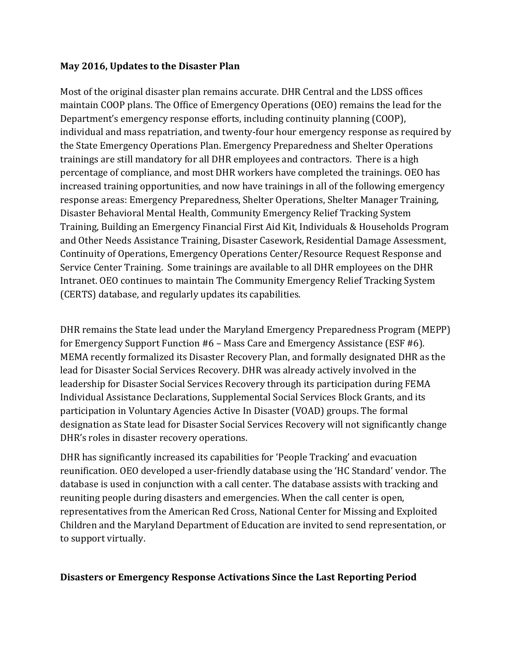## **May 2016, Updates to the Disaster Plan**

Most of the original disaster plan remains accurate. DHR Central and the LDSS offices maintain COOP plans. The Office of Emergency Operations (OEO) remains the lead for the Department's emergency response efforts, including continuity planning (COOP), individual and mass repatriation, and twenty-four hour emergency response as required by the State Emergency Operations Plan. Emergency Preparedness and Shelter Operations trainings are still mandatory for all DHR employees and contractors. There is a high percentage of compliance, and most DHR workers have completed the trainings. OEO has increased training opportunities, and now have trainings in all of the following emergency response areas: Emergency Preparedness, Shelter Operations, Shelter Manager Training, Disaster Behavioral Mental Health, Community Emergency Relief Tracking System Training, Building an Emergency Financial First Aid Kit, Individuals & Households Program and Other Needs Assistance Training, Disaster Casework, Residential Damage Assessment, Continuity of Operations, Emergency Operations Center/Resource Request Response and Service Center Training. Some trainings are available to all DHR employees on the DHR Intranet. OEO continues to maintain The Community Emergency Relief Tracking System (CERTS) database, and regularly updates its capabilities.

DHR remains the State lead under the Maryland Emergency Preparedness Program (MEPP) for Emergency Support Function #6 – Mass Care and Emergency Assistance (ESF #6). MEMA recently formalized its Disaster Recovery Plan, and formally designated DHR as the lead for Disaster Social Services Recovery. DHR was already actively involved in the leadership for Disaster Social Services Recovery through its participation during FEMA Individual Assistance Declarations, Supplemental Social Services Block Grants, and its participation in Voluntary Agencies Active In Disaster (VOAD) groups. The formal designation as State lead for Disaster Social Services Recovery will not significantly change DHR's roles in disaster recovery operations.

DHR has significantly increased its capabilities for 'People Tracking' and evacuation reunification. OEO developed a user-friendly database using the 'HC Standard' vendor. The database is used in conjunction with a call center. The database assists with tracking and reuniting people during disasters and emergencies. When the call center is open, representatives from the American Red Cross, National Center for Missing and Exploited Children and the Maryland Department of Education are invited to send representation, or to support virtually.

## **Disasters or Emergency Response Activations Since the Last Reporting Period**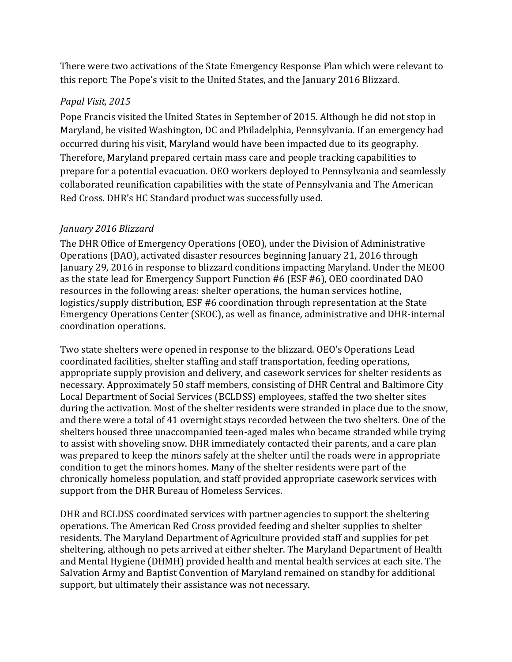There were two activations of the State Emergency Response Plan which were relevant to this report: The Pope's visit to the United States, and the January 2016 Blizzard.

## *Papal Visit, 2015*

Pope Francis visited the United States in September of 2015. Although he did not stop in Maryland, he visited Washington, DC and Philadelphia, Pennsylvania. If an emergency had occurred during his visit, Maryland would have been impacted due to its geography. Therefore, Maryland prepared certain mass care and people tracking capabilities to prepare for a potential evacuation. OEO workers deployed to Pennsylvania and seamlessly collaborated reunification capabilities with the state of Pennsylvania and The American Red Cross. DHR's HC Standard product was successfully used.

## *January 2016 Blizzard*

The DHR Office of Emergency Operations (OEO), under the Division of Administrative Operations (DAO), activated disaster resources beginning January 21, 2016 through January 29, 2016 in response to blizzard conditions impacting Maryland. Under the MEOO as the state lead for Emergency Support Function #6 (ESF #6), OEO coordinated DAO resources in the following areas: shelter operations, the human services hotline, logistics/supply distribution, ESF #6 coordination through representation at the State Emergency Operations Center (SEOC), as well as finance, administrative and DHR-internal coordination operations.

Two state shelters were opened in response to the blizzard. OEO's Operations Lead coordinated facilities, shelter staffing and staff transportation, feeding operations, appropriate supply provision and delivery, and casework services for shelter residents as necessary. Approximately 50 staff members, consisting of DHR Central and Baltimore City Local Department of Social Services (BCLDSS) employees, staffed the two shelter sites during the activation. Most of the shelter residents were stranded in place due to the snow, and there were a total of 41 overnight stays recorded between the two shelters. One of the shelters housed three unaccompanied teen-aged males who became stranded while trying to assist with shoveling snow. DHR immediately contacted their parents, and a care plan was prepared to keep the minors safely at the shelter until the roads were in appropriate condition to get the minors homes. Many of the shelter residents were part of the chronically homeless population, and staff provided appropriate casework services with support from the DHR Bureau of Homeless Services.

DHR and BCLDSS coordinated services with partner agencies to support the sheltering operations. The American Red Cross provided feeding and shelter supplies to shelter residents. The Maryland Department of Agriculture provided staff and supplies for pet sheltering, although no pets arrived at either shelter. The Maryland Department of Health and Mental Hygiene (DHMH) provided health and mental health services at each site. The Salvation Army and Baptist Convention of Maryland remained on standby for additional support, but ultimately their assistance was not necessary.